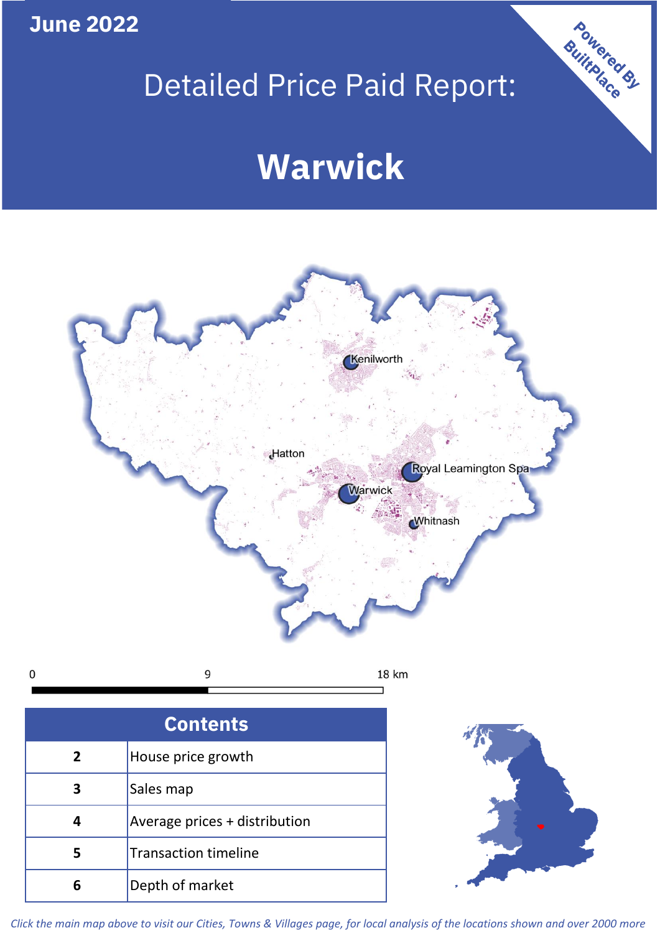**June 2022**

**5**

Transaction timeline

**6** Depth of market

# Detailed Price Paid Report:

Powered By

# **Warwick**



*Click the main map above to visit our Cities, Towns & Villages page, for local analysis of the locations shown and over 2000 more*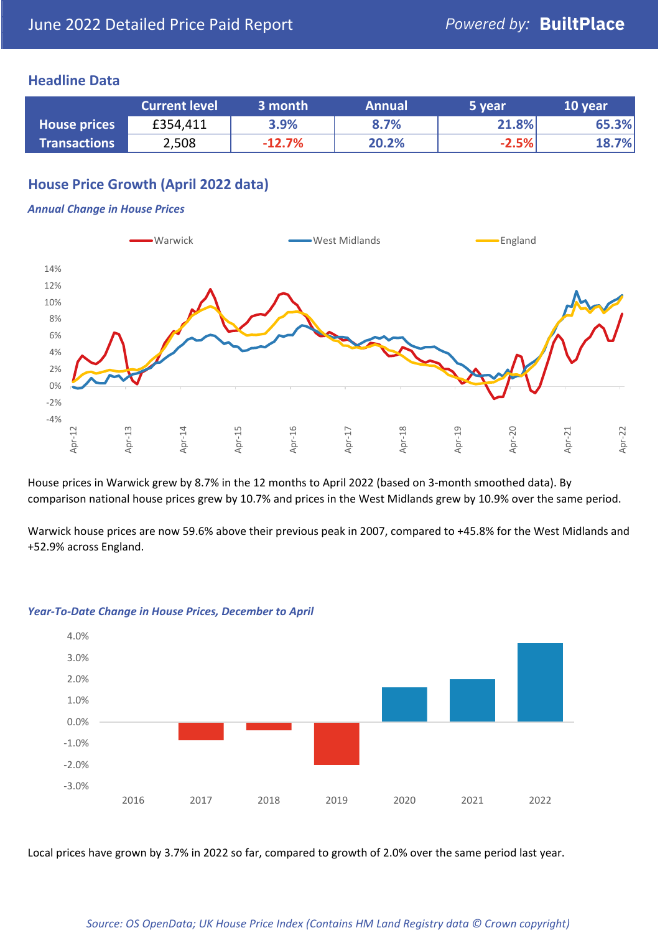### **Headline Data**

|                     | <b>Current level</b> | 3 month  | <b>Annual</b> | 5 year  | 10 year |
|---------------------|----------------------|----------|---------------|---------|---------|
| <b>House prices</b> | £354,411             | 3.9%     | 8.7%          | 21.8%   | 65.3%   |
| <b>Transactions</b> | 2,508                | $-12.7%$ | 20.2%         | $-2.5%$ | 18.7%   |

# **House Price Growth (April 2022 data)**

#### *Annual Change in House Prices*



House prices in Warwick grew by 8.7% in the 12 months to April 2022 (based on 3-month smoothed data). By comparison national house prices grew by 10.7% and prices in the West Midlands grew by 10.9% over the same period.

Warwick house prices are now 59.6% above their previous peak in 2007, compared to +45.8% for the West Midlands and +52.9% across England.



#### *Year-To-Date Change in House Prices, December to April*

Local prices have grown by 3.7% in 2022 so far, compared to growth of 2.0% over the same period last year.

#### *Source: OS OpenData; UK House Price Index (Contains HM Land Registry data © Crown copyright)*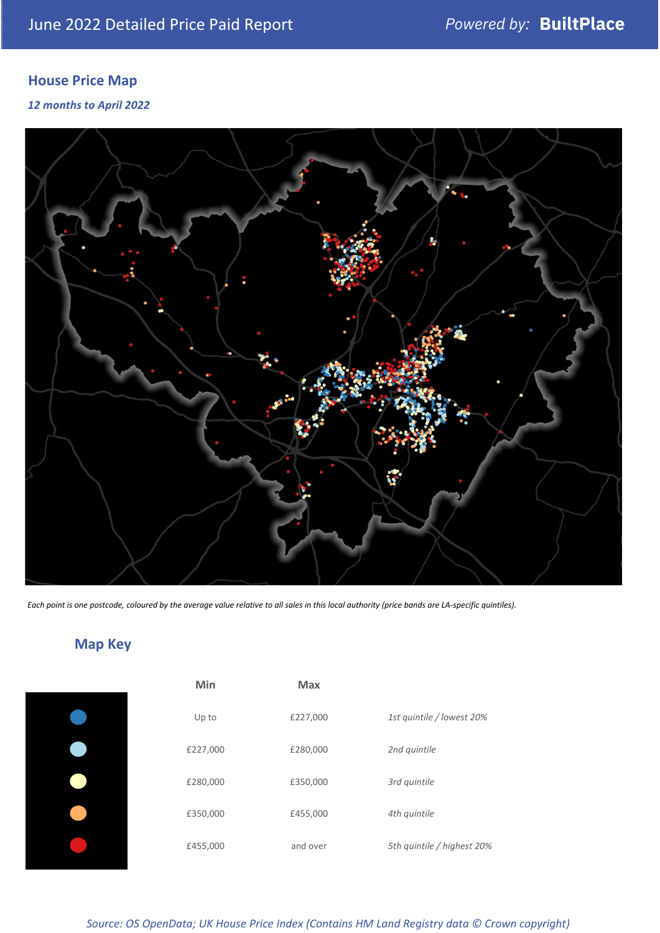# **House Price Map**

*12 months to April 2022*



*Each point is one postcode, coloured by the average value relative to all sales in this local authority (price bands are LA-specific quintiles).*

# **Map Key**

| Min      | <b>Max</b> |              |
|----------|------------|--------------|
| Up to    | £227,000   | 1st quintile |
| £227,000 | £280,000   | 2nd quintile |
| £280,000 | £350,000   | 3rd quintile |
| £350,000 | £455,000   | 4th quintile |
| £455,000 | and over   | 5th quintile |
|          |            |              |

| Min      | <b>Max</b> |                            |
|----------|------------|----------------------------|
| Up to    | £227,000   | 1st quintile / lowest 20%  |
| £227,000 | £280,000   | 2nd quintile               |
| £280,000 | £350,000   | 3rd quintile               |
| £350,000 | £455,000   | 4th quintile               |
| £455,000 | and over   | 5th quintile / highest 20% |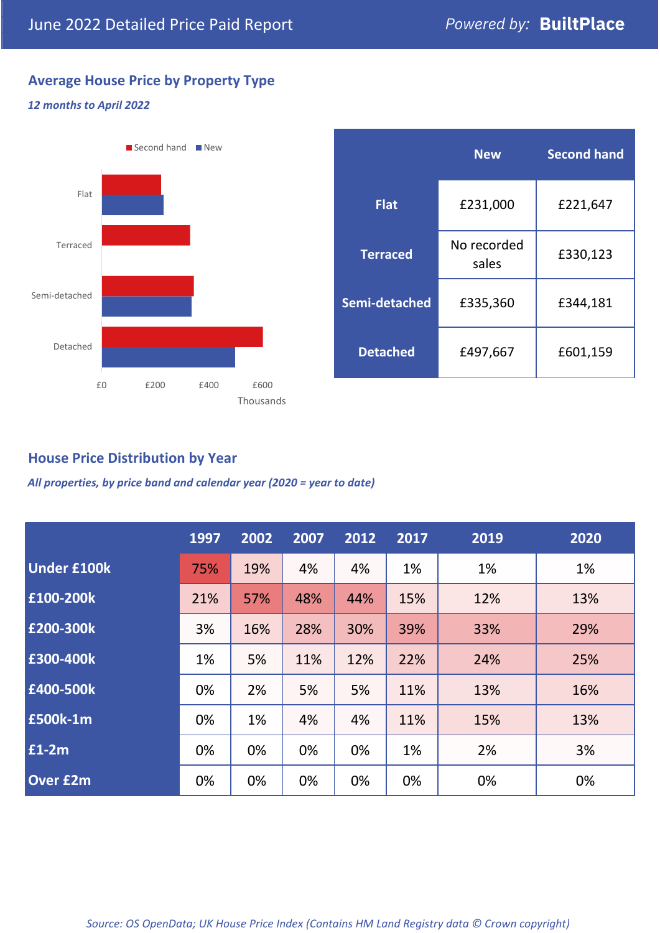# **Average House Price by Property Type**

#### *12 months to April 2022*



|                 | <b>New</b>           | <b>Second hand</b> |  |  |
|-----------------|----------------------|--------------------|--|--|
| <b>Flat</b>     | £231,000             | £221,647           |  |  |
| <b>Terraced</b> | No recorded<br>sales | £330,123           |  |  |
| Semi-detached   | £335,360             | £344,181           |  |  |
| <b>Detached</b> | £497,667             | £601,159           |  |  |

### **House Price Distribution by Year**

*All properties, by price band and calendar year (2020 = year to date)*

|                    | 1997 | 2002 | 2007 | 2012 | 2017 | 2019 | 2020 |
|--------------------|------|------|------|------|------|------|------|
| <b>Under £100k</b> | 75%  | 19%  | 4%   | 4%   | 1%   | 1%   | 1%   |
| £100-200k          | 21%  | 57%  | 48%  | 44%  | 15%  | 12%  | 13%  |
| E200-300k          | 3%   | 16%  | 28%  | 30%  | 39%  | 33%  | 29%  |
| £300-400k          | 1%   | 5%   | 11%  | 12%  | 22%  | 24%  | 25%  |
| £400-500k          | 0%   | 2%   | 5%   | 5%   | 11%  | 13%  | 16%  |
| <b>£500k-1m</b>    | 0%   | 1%   | 4%   | 4%   | 11%  | 15%  | 13%  |
| £1-2m              | 0%   | 0%   | 0%   | 0%   | 1%   | 2%   | 3%   |
| <b>Over £2m</b>    | 0%   | 0%   | 0%   | 0%   | 0%   | 0%   | 0%   |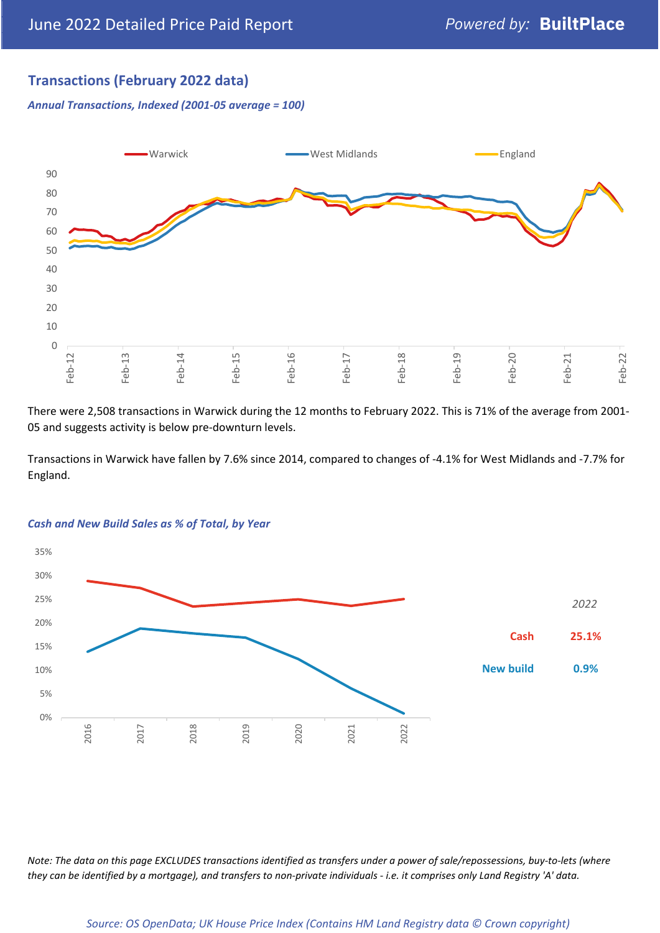# **Transactions (February 2022 data)**

*Annual Transactions, Indexed (2001-05 average = 100)*



There were 2,508 transactions in Warwick during the 12 months to February 2022. This is 71% of the average from 2001- 05 and suggests activity is below pre-downturn levels.

Transactions in Warwick have fallen by 7.6% since 2014, compared to changes of -4.1% for West Midlands and -7.7% for England.



#### *Cash and New Build Sales as % of Total, by Year*

*Note: The data on this page EXCLUDES transactions identified as transfers under a power of sale/repossessions, buy-to-lets (where they can be identified by a mortgage), and transfers to non-private individuals - i.e. it comprises only Land Registry 'A' data.*